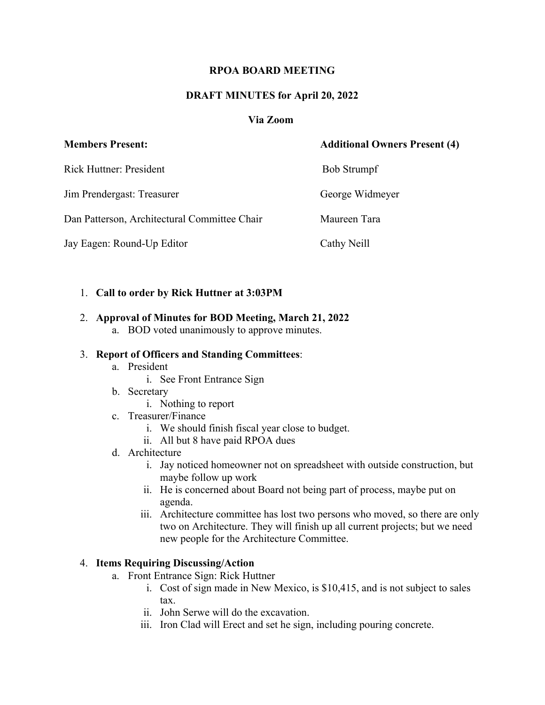# **RPOA BOARD MEETING**

# **DRAFT MINUTES for April 20, 2022**

## **Via Zoom**

| <b>Members Present:</b>                      | <b>Additional Owners Present (4)</b> |
|----------------------------------------------|--------------------------------------|
| Rick Huttner: President                      | <b>Bob Strumpf</b>                   |
| Jim Prendergast: Treasurer                   | George Widmeyer                      |
| Dan Patterson, Architectural Committee Chair | Maureen Tara                         |
| Jay Eagen: Round-Up Editor                   | Cathy Neill                          |

## 1. **Call to order by Rick Huttner at 3:03PM**

#### 2. **Approval of Minutes for BOD Meeting, March 21, 2022**

a. BOD voted unanimously to approve minutes.

### 3. **Report of Officers and Standing Committees**:

- a. President
	- i. See Front Entrance Sign
- b. Secretary
	- i. Nothing to report
- c. Treasurer/Finance
	- i. We should finish fiscal year close to budget.
	- ii. All but 8 have paid RPOA dues
- d. Architecture
	- i. Jay noticed homeowner not on spreadsheet with outside construction, but maybe follow up work
	- ii. He is concerned about Board not being part of process, maybe put on agenda.
	- iii. Architecture committee has lost two persons who moved, so there are only two on Architecture. They will finish up all current projects; but we need new people for the Architecture Committee.

## 4. **Items Requiring Discussing/Action**

- a. Front Entrance Sign: Rick Huttner
	- i. Cost of sign made in New Mexico, is \$10,415, and is not subject to sales tax.
	- ii. John Serwe will do the excavation.
	- iii. Iron Clad will Erect and set he sign, including pouring concrete.